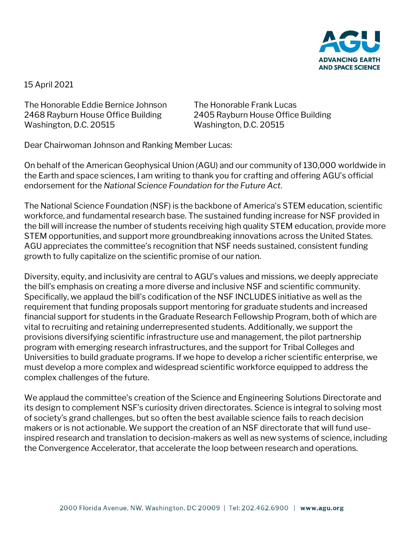

15 April 2021

The Honorable Eddie Bernice Johnson The Honorable Frank Lucas 2468 Rayburn House Office Building 2405 Rayburn House Office Building Washington, D.C. 20515 Washington, D.C. 20515

Dear Chairwoman Johnson and Ranking Member Lucas:

On behalf of the American Geophysical Union (AGU) and our community of 130,000 worldwide in the Earth and space sciences, I am writing to thank you for crafting and offering AGU's official endorsement for the *National Science Foundation for the Future Act.* 

The National Science Foundation (NSF) is the backbone of America's STEM education, scientific workforce, and fundamental research base. The sustained funding increase for NSF provided in the bill will increase the number of students receiving high quality STEM education, provide more STEM opportunities, and support more groundbreaking innovations across the United States. AGU appreciates the committee's recognition that NSF needs sustained, consistent funding growth to fully capitalize on the scientific promise of our nation.

Diversity, equity, and inclusivity are central to AGU's values and missions, we deeply appreciate the bill's emphasis on creating a more diverse and inclusive NSF and scientific community. Specifically, we applaud the bill's codification of the NSF INCLUDES initiative as well as the requirement that funding proposals support mentoring for graduate students and increased financial support for students in the Graduate Research Fellowship Program, both of which are vital to recruiting and retaining underrepresented students. Additionally, we support the provisions diversifying scientific infrastructure use and management, the pilot partnership program with emerging research infrastructures, and the support for Tribal Colleges and Universities to build graduate programs. If we hope to develop a richer scientific enterprise, we must develop a more complex and widespread scientific workforce equipped to address the complex challenges of the future.

We applaud the committee's creation of the Science and Engineering Solutions Directorate and its design to complement NSF's curiosity driven directorates. Science is integral to solving most of society's grand challenges, but so often the best available science fails to reach decision makers or is not actionable. We support the creation of an NSF directorate that will fund useinspired research and translation to decision-makers as well as new systems of science, including the Convergence Accelerator, that accelerate the loop between research and operations.